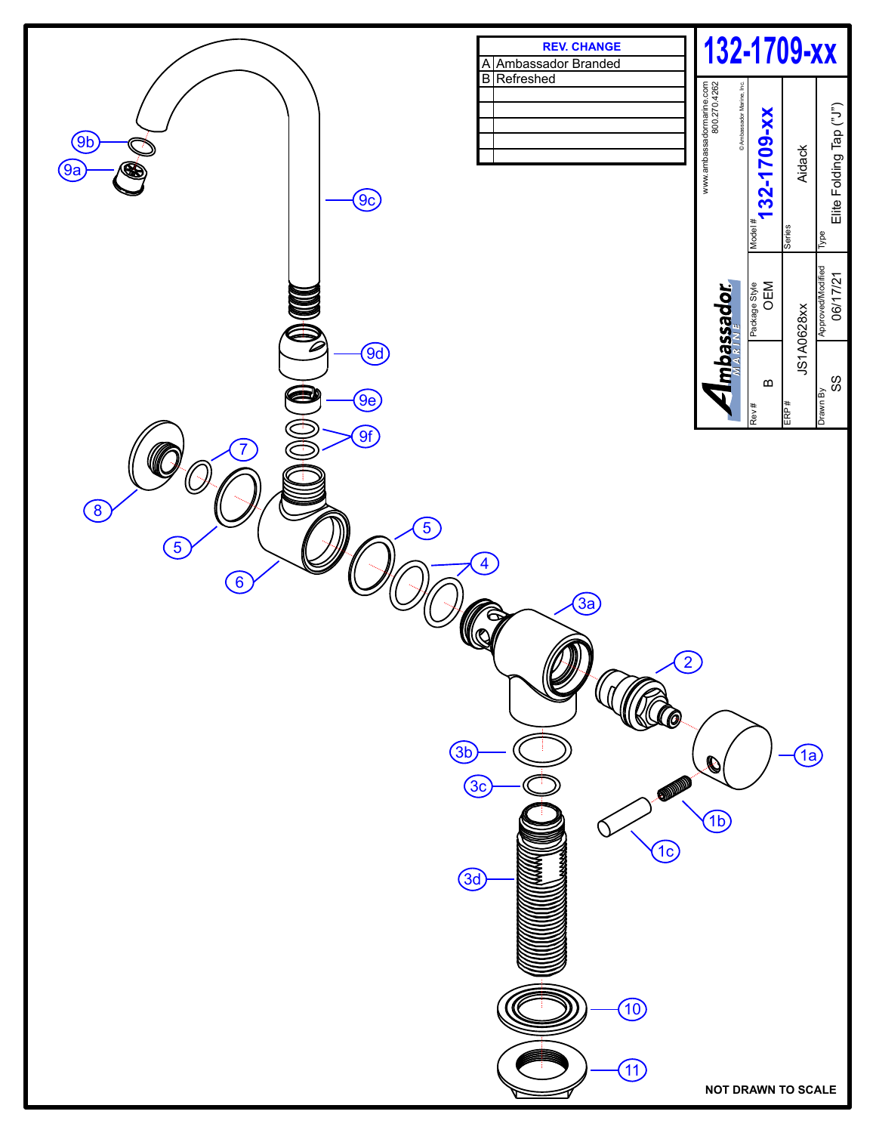